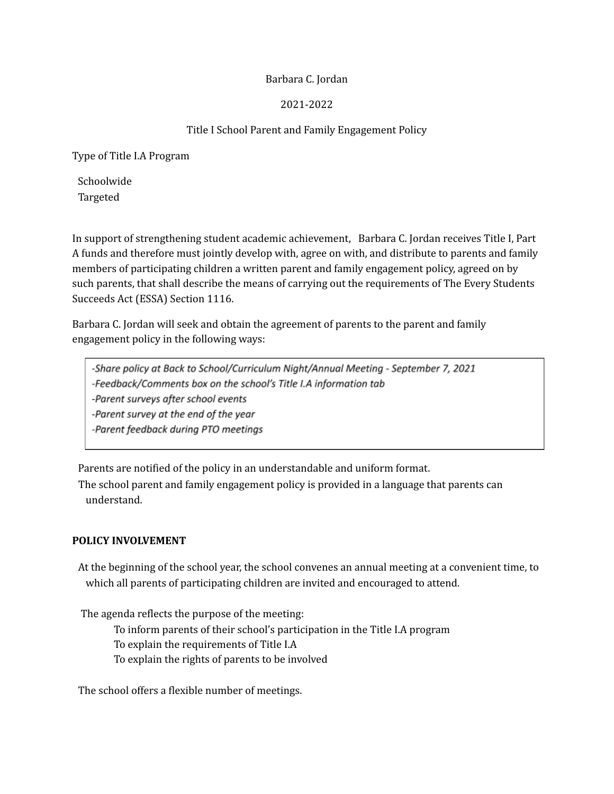### Barbara C. Jordan

## 2021-2022

# Title I School Parent and Family Engagement Policy

Type of Title I.A Program

Schoolwide Targeted

In support of strengthening student academic achievement, Barbara C. Jordan receives Title I, Part A funds and therefore must jointly develop with, agree on with, and distribute to parents and family members of participating children a written parent and family engagement policy, agreed on by such parents, that shall describe the means of carrying out the requirements of The Every Students Succeeds Act (ESSA) Section 1116.

Barbara C. Jordan will seek and obtain the agreement of parents to the parent and family engagement policy in the following ways:

-Share policy at Back to School/Curriculum Night/Annual Meeting - September 7, 2021 -Feedback/Comments box on the school's Title I.A information tab -Parent surveys after school events -Parent survey at the end of the year -Parent feedback during PTO meetings

Parents are notified of the policy in an understandable and uniform format.

The school parent and family engagement policy is provided in a language that parents can understand.

### **POLICY INVOLVEMENT**

At the beginning of the school year, the school convenes an annual meeting at a convenient time, to which all parents of participating children are invited and encouraged to attend.

The agenda reflects the purpose of the meeting:

To inform parents of their school's participation in the Title I.A program

To explain the requirements of Title I.A

To explain the rights of parents to be involved

The school offers a flexible number of meetings.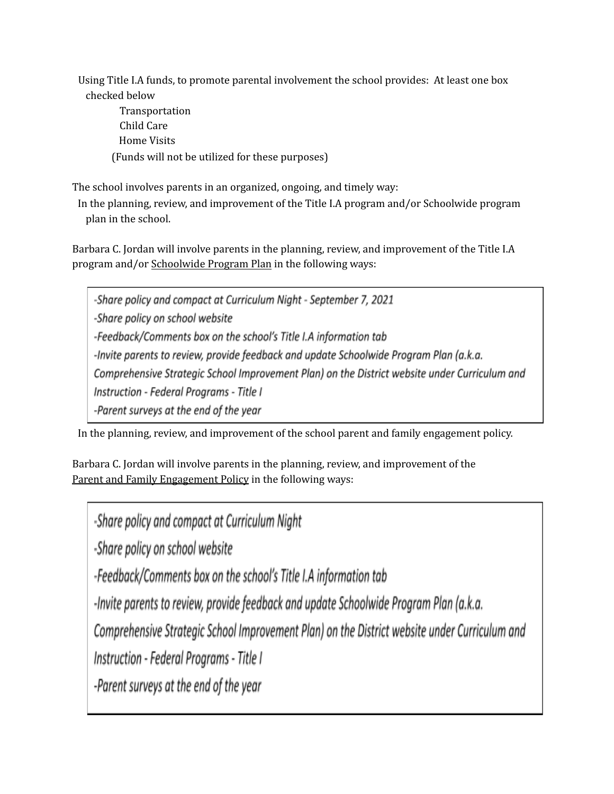Using Title I.A funds, to promote parental involvement the school provides: At least one box checked below

Transportation Child Care Home Visits (Funds will not be utilized for these purposes)

The school involves parents in an organized, ongoing, and timely way:

In the planning, review, and improvement of the Title I.A program and/or Schoolwide program plan in the school.

Barbara C. Jordan will involve parents in the planning, review, and improvement of the Title I.A program and/or Schoolwide Program Plan in the following ways:

-Share policy and compact at Curriculum Night - September 7, 2021 -Share policy on school website -Feedback/Comments box on the school's Title I.A information tab -Invite parents to review, provide feedback and update Schoolwide Program Plan (a.k.a. Comprehensive Strategic School Improvement Plan) on the District website under Curriculum and Instruction - Federal Programs - Title I -Parent surveys at the end of the year

In the planning, review, and improvement of the school parent and family engagement policy.

Barbara C. Jordan will involve parents in the planning, review, and improvement of the Parent and Family Engagement Policy in the following ways:

-Share policy and compact at Curriculum Night

-Share policy on school website

-Feedback/Comments box on the school's Title I.A information tab

-Invite parents to review, provide feedback and update Schoolwide Program Plan (a.k.a.

Comprehensive Strategic School Improvement Plan) on the District website under Curriculum and

Instruction - Federal Programs - Title I

-Parent surveys at the end of the year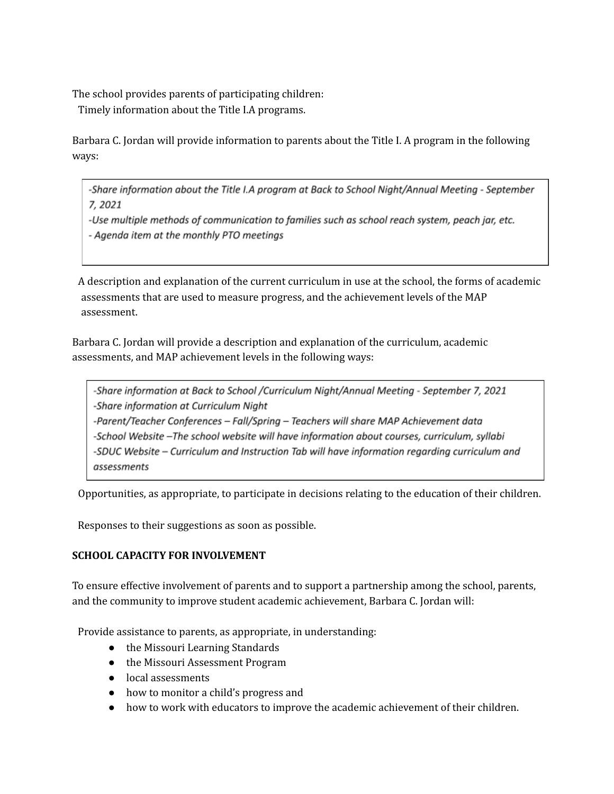The school provides parents of participating children:

Timely information about the Title I.A programs.

Barbara C. Jordan will provide information to parents about the Title I. A program in the following ways:

-Share information about the Title I.A program at Back to School Night/Annual Meeting - September 7,2021

-Use multiple methods of communication to families such as school reach system, peach jar, etc. - Agenda item at the monthly PTO meetings

A description and explanation of the current curriculum in use at the school, the forms of academic assessments that are used to measure progress, and the achievement levels of the MAP assessment.

Barbara C. Jordan will provide a description and explanation of the curriculum, academic assessments, and MAP achievement levels in the following ways:

-Share information at Back to School /Curriculum Night/Annual Meeting - September 7, 2021 -Share information at Curriculum Night -Parent/Teacher Conferences - Fall/Spring - Teachers will share MAP Achievement data -School Website -The school website will have information about courses, curriculum, syllabi -SDUC Website - Curriculum and Instruction Tab will have information regarding curriculum and assessments

Opportunities, as appropriate, to participate in decisions relating to the education of their children.

Responses to their suggestions as soon as possible.

### **SCHOOL CAPACITY FOR INVOLVEMENT**

To ensure effective involvement of parents and to support a partnership among the school, parents, and the community to improve student academic achievement, Barbara C. Jordan will:

Provide assistance to parents, as appropriate, in understanding:

- the Missouri Learning Standards
- the Missouri Assessment Program
- local assessments
- how to monitor a child's progress and
- how to work with educators to improve the academic achievement of their children.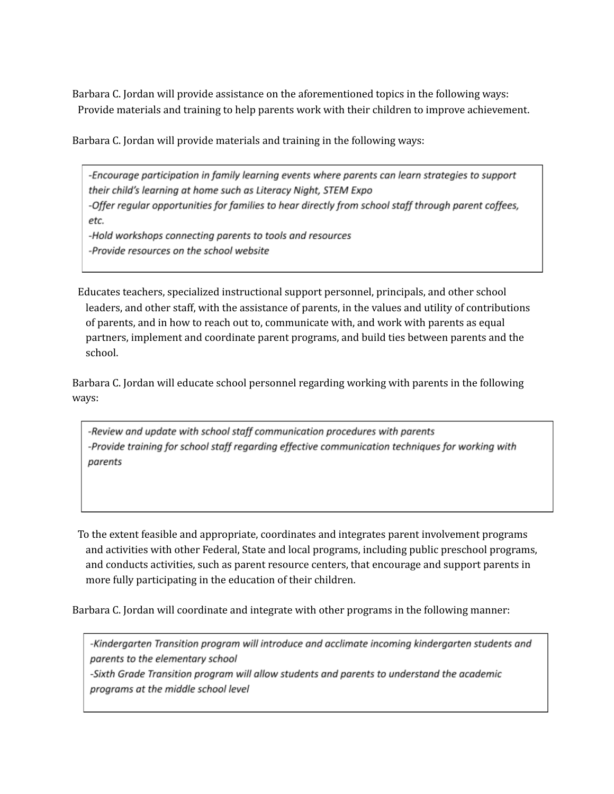Barbara C. Jordan will provide assistance on the aforementioned topics in the following ways: Provide materials and training to help parents work with their children to improve achievement.

Barbara C. Jordan will provide materials and training in the following ways:

-Encourage participation in family learning events where parents can learn strategies to support their child's learning at home such as Literacy Night, STEM Expo -Offer regular opportunities for families to hear directly from school staff through parent coffees, etc. -Hold workshops connecting parents to tools and resources -Provide resources on the school website

Educates teachers, specialized instructional support personnel, principals, and other school leaders, and other staff, with the assistance of parents, in the values and utility of contributions of parents, and in how to reach out to, communicate with, and work with parents as equal partners, implement and coordinate parent programs, and build ties between parents and the school.

Barbara C. Jordan will educate school personnel regarding working with parents in the following ways:

-Review and update with school staff communication procedures with parents -Provide training for school staff regarding effective communication techniques for working with parents

To the extent feasible and appropriate, coordinates and integrates parent involvement programs and activities with other Federal, State and local programs, including public preschool programs, and conducts activities, such as parent resource centers, that encourage and support parents in more fully participating in the education of their children.

Barbara C. Jordan will coordinate and integrate with other programs in the following manner:

-Kindergarten Transition program will introduce and acclimate incoming kindergarten students and parents to the elementary school

-Sixth Grade Transition program will allow students and parents to understand the academic programs at the middle school level